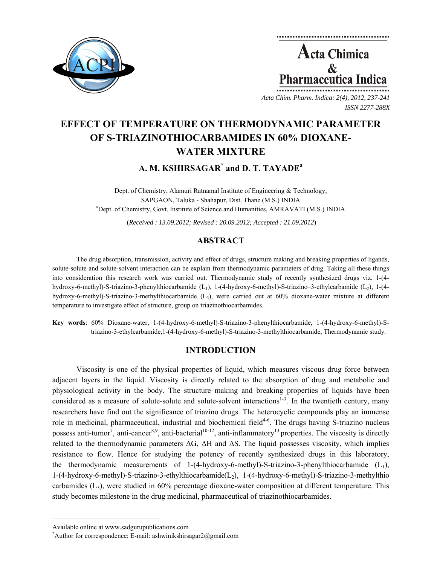

**Acta Chimica**  $\mathbf{\&}$ Pharmaceutica Ind

*Acta Chim. Pharm. Indica: 2(4), 2012, 237-241 ISSN 2277-288X*

# **EFFECT OF TEMPERATURE ON THERMODYNAMIC PARAMETER OF S-TRIAZINOTHIOCARBAMIDES IN 60% DIOXANE-WATER MIXTURE**

**A. M. KSHIRSAGAR\* and D. T. TAYADE<sup>a</sup>**

Dept. of Chemistry, Alamuri Ratnamal Institute of Engineering & Technology, SAPGAON, Taluka - Shahapur, Dist. Thane (M.S.) INDIA Dept. of Chemistry, Govt. Institute of Science and Humanities, AMRAVATI (M.S.) INDIA

(*Received : 13.09.2012; Revised : 20.09.2012; Accepted : 21.09.2012*)

## **ABSTRACT**

The drug absorption, transmission, activity and effect of drugs, structure making and breaking properties of ligands, solute-solute and solute-solvent interaction can be explain from thermodynamic parameters of drug. Taking all these things into consideration this research work was carried out. Thermodynamic study of recently synthesized drugs viz. 1-(4 hydroxy-6-methyl)-S-triazino-3-phenylthiocarbamide (L<sub>1</sub>), 1-(4-hydroxy-6-methyl)-S-triazino–3-ethylcarbamide (L<sub>2</sub>), 1-(4hydroxy-6-methyl)-S-triazino-3-methylthiocarbamide (L3), were carried out at 60% dioxane-water mixture at different temperature to investigate effect of structure, group on triazinothiocarbamides.

**Key words**: 60% Dioxane-water, 1-(4-hydroxy-6-methyl)-S-triazino-3-phenylthiocarbamide, 1-(4-hydroxy-6-methyl)-Striazino-3-ethylcarbamide,1-(4-hydroxy-6-methyl)-S-triazino-3-methylthiocarbamide, Thermodynamic study.

## **INTRODUCTION**

Viscosity is one of the physical properties of liquid, which measures viscous drug force between adjacent layers in the liquid. Viscosity is directly related to the absorption of drug and metabolic and physiological activity in the body. The structure making and breaking properties of liquids have been considered as a measure of solute-solute and solute-solvent interactions<sup>1-3</sup>. In the twentieth century, many researchers have find out the significance of triazino drugs. The heterocyclic compounds play an immense role in medicinal, pharmaceutical, industrial and biochemical field<sup>4-6</sup>. The drugs having S-triazino nucleus possess anti-tumor<sup>7</sup>, anti-cancer<sup>8,9</sup>, anti-bacterial<sup>10-12</sup>, anti-inflammatory<sup>13</sup> properties. The viscosity is directly related to the thermodynamic parameters  $\Delta G$ ,  $\Delta H$  and  $\Delta S$ . The liquid possesses viscosity, which implies resistance to flow. Hence for studying the potency of recently synthesized drugs in this laboratory, the thermodynamic measurements of 1-(4-hydroxy-6-methyl)-S-triazino-3-phenylthiocarbamide  $(L_1)$ , 1-(4-hydroxy-6-methyl)-S-triazino-3-ethylthiocarbamide(L2), 1-(4-hydroxy-6-methyl)-S-triazino-3-methylthio carbamides  $(L_3)$ , were studied in 60% percentage dioxane-water composition at different temperature. This study becomes milestone in the drug medicinal, pharmaceutical of triazinothiocarbamides.

 $\mathcal{L} = \{ \mathcal{L} \}$ 

Available online at www.sadgurupublications.com \*

<sup>\*</sup>Author for correspondence; E-mail: ashwinikshirsagar $2$ @gmail.com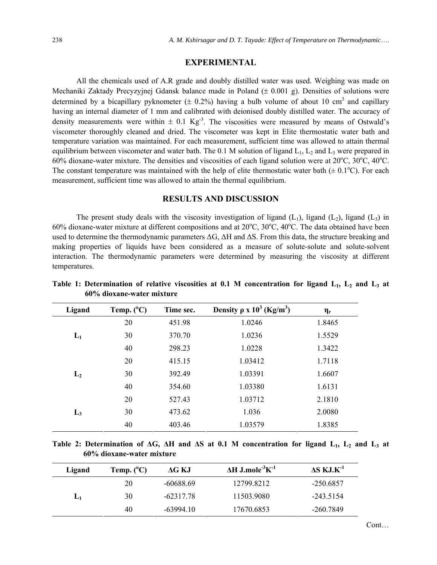### **EXPERIMENTAL**

All the chemicals used of A.R grade and doubly distilled water was used. Weighing was made on Mechaniki Zaktady Precyzyjnej Gdansk balance made in Poland (± 0.001 g). Densities of solutions were determined by a bicapillary pyknometer  $(\pm 0.2%)$  having a bulb volume of about 10 cm<sup>3</sup> and capillary having an internal diameter of 1 mm and calibrated with deionised doubly distilled water. The accuracy of density measurements were within  $\pm$  0.1 Kg<sup>-3</sup>. The viscosities were measured by means of Ostwald's viscometer thoroughly cleaned and dried. The viscometer was kept in Elite thermostatic water bath and temperature variation was maintained. For each measurement, sufficient time was allowed to attain thermal equilibrium between viscometer and water bath. The 0.1 M solution of ligand  $L_1$ ,  $L_2$  and  $L_3$  were prepared in 60% dioxane-water mixture. The densities and viscosities of each ligand solution were at  $20^{\circ}$ C,  $30^{\circ}$ C,  $40^{\circ}$ C. The constant temperature was maintained with the help of elite thermostatic water bath  $(± 0.1°C)$ . For each measurement, sufficient time was allowed to attain the thermal equilibrium.

### **RESULTS AND DISCUSSION**

The present study deals with the viscosity investigation of ligand  $(L_1)$ , ligand  $(L_2)$ , ligand  $(L_3)$  in 60% dioxane-water mixture at different compositions and at  $20^{\circ}$ C,  $30^{\circ}$ C,  $40^{\circ}$ C. The data obtained have been used to determine the thermodynamic parameters  $\Delta G$ ,  $\Delta H$  and  $\Delta S$ . From this data, the structure breaking and making properties of liquids have been considered as a measure of solute-solute and solute-solvent interaction. The thermodynamic parameters were determined by measuring the viscosity at different temperatures.

| Ligand | Temp. $(^{\circ}C)$ | Time sec. | Density $\rho$ x $10^3$ (Kg/m <sup>3</sup> ) | $\eta_r$ |
|--------|---------------------|-----------|----------------------------------------------|----------|
|        | 20                  | 451.98    | 1.0246                                       | 1.8465   |
| $L_1$  | 30                  | 370.70    | 1.0236                                       | 1.5529   |
|        | 40                  | 298.23    | 1.0228                                       | 1.3422   |
|        | 20                  | 415.15    | 1.03412                                      | 1.7118   |
| $L_2$  | 30                  | 392.49    | 1.03391                                      | 1.6607   |
|        | 40                  | 354.60    | 1.03380                                      | 1.6131   |
|        | 20                  | 527.43    | 1.03712                                      | 2.1810   |
| $L_3$  | 30                  | 473.62    | 1.036                                        | 2.0080   |
|        | 40                  | 403.46    | 1.03579                                      | 1.8385   |

Table 1: Determination of relative viscosities at 0.1 M concentration for ligand L<sub>1</sub>, L<sub>2</sub> and L<sub>3</sub> at **60% dioxane-water mixture**

**Table 2: Determination of ΔG, ΔH and ΔS at 0.1 M concentration for ligand L1, L2 and L3 at 60% dioxane-water mixture** 

| Ligand | Temp. $(^{\circ}C)$ | AG KJ       | $\Delta H$ J.mole <sup>-3</sup> K <sup>-1</sup> | $\Delta S$ KJ.K <sup>-1</sup> |
|--------|---------------------|-------------|-------------------------------------------------|-------------------------------|
| L1     | 20                  | -60688.69   | 12799.8212                                      | -250.6857                     |
|        | 30                  | $-62317.78$ | 11503.9080                                      | $-243.5154$                   |
|        | 40                  | $-6399410$  | 17670.6853                                      | -260.7849                     |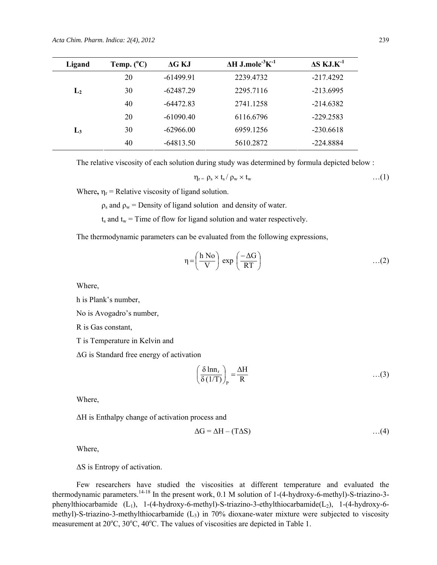| Ligand | Temp. $(^{\circ}C)$ | $\Delta G$ KJ | $\Delta H$ J.mole <sup>-3</sup> K <sup>-1</sup> | $\Delta S$ KJ.K <sup>-1</sup> |
|--------|---------------------|---------------|-------------------------------------------------|-------------------------------|
| $L_2$  | 20                  | $-61499.91$   | 2239.4732                                       | $-217.4292$                   |
|        | 30                  | $-62487.29$   | 2295.7116                                       | $-213.6995$                   |
|        | 40                  | $-64472.83$   | 2741.1258                                       | $-214.6382$                   |
| $L_3$  | 20                  | $-61090.40$   | 6116.6796                                       | $-229.2583$                   |
|        | 30                  | $-62966.00$   | 6959.1256                                       | $-230.6618$                   |
|        | 40                  | $-64813.50$   | 5610.2872                                       | -224.8884                     |

The relative viscosity of each solution during study was determined by formula depicted below :

$$
\eta_r = \rho_s \times t_s / \rho_w \times t_w \qquad \qquad \ldots (1)
$$

Where,  $\eta_r$  = Relative viscosity of ligand solution.

 $\rho_s$  and  $\rho_w$  = Density of ligand solution and density of water.

 $t_s$  and  $t_w$  = Time of flow for ligand solution and water respectively.

The thermodynamic parameters can be evaluated from the following expressions,

$$
\eta = \left(\frac{h\ No}{V}\right)\ \exp\left(\frac{-\Delta G}{RT}\right) \tag{2}
$$

Where,

h is Plank's number,

No is Avogadro's number,

R is Gas constant,

T is Temperature in Kelvin and

ΔG is Standard free energy of activation

$$
\left(\frac{\delta \ln n_r}{\delta (1/T)}\right)_{\rm p} = \frac{\Delta H}{R} \tag{3}
$$

Where,

ΔH is Enthalpy change of activation process and

$$
\Delta G = \Delta H - (T \Delta S) \tag{4}
$$

Where,

ΔS is Entropy of activation.

Few researchers have studied the viscosities at different temperature and evaluated the thermodynamic parameters.<sup>14-18</sup> In the present work,  $0.1$  M solution of 1-(4-hydroxy-6-methyl)-S-triazino-3phenylthiocarbamide  $(L_1)$ , 1-(4-hydroxy-6-methyl)-S-triazino-3-ethylthiocarbamide( $L_2$ ), 1-(4-hydroxy-6methyl)-S-triazino-3-methylthiocarbamide  $(L_3)$  in 70% dioxane-water mixture were subjected to viscosity measurement at  $20^{\circ}$ C,  $30^{\circ}$ C,  $40^{\circ}$ C. The values of viscosities are depicted in Table 1.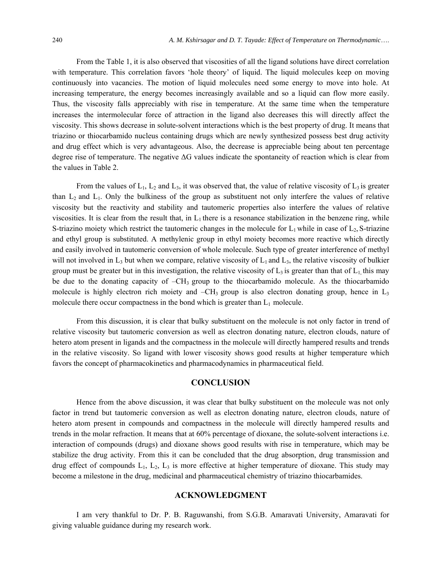From the Table 1, it is also observed that viscosities of all the ligand solutions have direct correlation with temperature. This correlation favors 'hole theory' of liquid. The liquid molecules keep on moving continuously into vacancies. The motion of liquid molecules need some energy to move into hole. At increasing temperature, the energy becomes increasingly available and so a liquid can flow more easily. Thus, the viscosity falls appreciably with rise in temperature. At the same time when the temperature increases the intermolecular force of attraction in the ligand also decreases this will directly affect the viscosity. This shows decrease in solute-solvent interactions which is the best property of drug. It means that triazino or thiocarbamido nucleus containing drugs which are newly synthesized possess best drug activity and drug effect which is very advantageous. Also, the decrease is appreciable being about ten percentage degree rise of temperature. The negative ΔG values indicate the spontaneity of reaction which is clear from the values in Table 2.

From the values of  $L_1$ ,  $L_2$  and  $L_3$ , it was observed that, the value of relative viscosity of  $L_3$  is greater than  $L_2$  and  $L_1$ . Only the bulkiness of the group as substituent not only interfere the values of relative viscosity but the reactivity and stability and tautomeric properties also interfere the values of relative viscosities. It is clear from the result that, in  $L_1$  there is a resonance stabilization in the benzene ring, while S-triazino moiety which restrict the tautomeric changes in the molecule for  $L_1$  while in case of  $L_2$ , S-triazine and ethyl group is substituted. A methylenic group in ethyl moiety becomes more reactive which directly and easily involved in tautomeric conversion of whole molecule. Such type of greater interference of methyl will not involved in  $L_3$  but when we compare, relative viscosity of  $L_1$  and  $L_3$ , the relative viscosity of bulkier group must be greater but in this investigation, the relative viscosity of  $L_3$  is greater than that of  $L_1$ , this may be due to the donating capacity of  $-CH_3$  group to the thiocarbamido molecule. As the thiocarbamido molecule is highly electron rich moiety and  $-CH_3$  group is also electron donating group, hence in  $L_3$ molecule there occur compactness in the bond which is greater than  $L_1$  molecule.

From this discussion, it is clear that bulky substituent on the molecule is not only factor in trend of relative viscosity but tautomeric conversion as well as electron donating nature, electron clouds, nature of hetero atom present in ligands and the compactness in the molecule will directly hampered results and trends in the relative viscosity. So ligand with lower viscosity shows good results at higher temperature which favors the concept of pharmacokinetics and pharmacodynamics in pharmaceutical field.

### **CONCLUSION**

Hence from the above discussion, it was clear that bulky substituent on the molecule was not only factor in trend but tautomeric conversion as well as electron donating nature, electron clouds, nature of hetero atom present in compounds and compactness in the molecule will directly hampered results and trends in the molar refraction. It means that at 60% percentage of dioxane, the solute-solvent interactions i.e. interaction of compounds (drugs) and dioxane shows good results with rise in temperature, which may be stabilize the drug activity. From this it can be concluded that the drug absorption, drug transmission and drug effect of compounds  $L_1$ ,  $L_2$ ,  $L_3$  is more effective at higher temperature of dioxane. This study may become a milestone in the drug, medicinal and pharmaceutical chemistry of triazino thiocarbamides.

#### **ACKNOWLEDGMENT**

I am very thankful to Dr. P. B. Raguwanshi, from S.G.B. Amaravati University, Amaravati for giving valuable guidance during my research work.